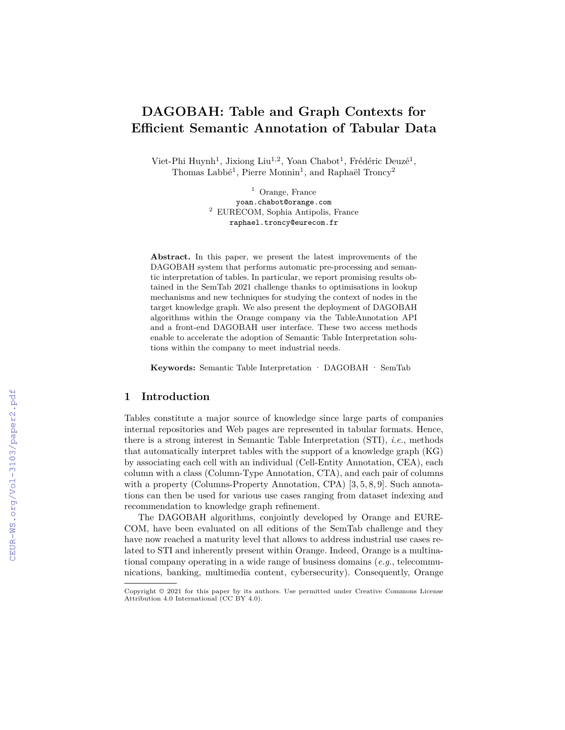# **DAGOBAH: Table and Graph Contexts for Efficient Semantic Annotation of Tabular Data**

Viet-Phi Huynh<sup>1</sup>, Jixiong Liu<sup>1,2</sup>, Yoan Chabot<sup>1</sup>, Frédéric Deuzé<sup>1</sup>, Thomas Labbé<sup>1</sup>, Pierre Monnin<sup>1</sup>, and Raphaël Troncy<sup>2</sup>

> <sup>1</sup> Orange, France yoan.chabot@orange.com <sup>2</sup> EURECOM, Sophia Antipolis, France raphael.troncy@eurecom.fr

**Abstract.** In this paper, we present the latest improvements of the DAGOBAH system that performs automatic pre-processing and semantic interpretation of tables. In particular, we report promising results obtained in the SemTab 2021 challenge thanks to optimisations in lookup mechanisms and new techniques for studying the context of nodes in the target knowledge graph. We also present the deployment of DAGOBAH algorithms within the Orange company via the TableAnnotation API and a front-end DAGOBAH user interface. These two access methods enable to accelerate the adoption of Semantic Table Interpretation solutions within the company to meet industrial needs.

**Keywords:** Semantic Table Interpretation · DAGOBAH · SemTab

#### **1 Introduction**

Tables constitute a major source of knowledge since large parts of companies internal repositories and Web pages are represented in tabular formats. Hence, there is a strong interest in Semantic Table Interpretation (STI), *i.e.*, methods that automatically interpret tables with the support of a knowledge graph (KG) by associating each cell with an individual (Cell-Entity Annotation, CEA), each column with a class (Column-Type Annotation, CTA), and each pair of columns with a property (Columns-Property Annotation, CPA) [3, 5, 8, 9]. Such annotations can then be used for various use cases ranging from dataset indexing and recommendation to knowledge graph refinement.

The DAGOBAH algorithms, conjointly developed by Orange and EURE-COM, have been evaluated on all editions of the SemTab challenge and they have now reached a maturity level that allows to address industrial use cases related to STI and inherently present within Orange. Indeed, Orange is a multinational company operating in a wide range of business domains (*e.g.*, telecommunications, banking, multimedia content, cybersecurity). Consequently, Orange

Copyright © 2021 for this paper by its authors. Use permitted under Creative Commons License Attribution 4.0 International (CC BY 4.0).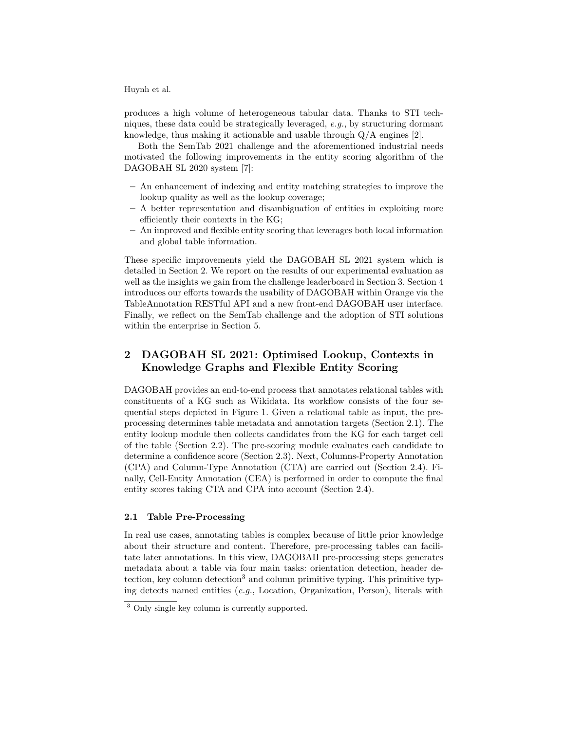produces a high volume of heterogeneous tabular data. Thanks to STI techniques, these data could be strategically leveraged, *e.g.*, by structuring dormant knowledge, thus making it actionable and usable through  $Q/A$  engines [2].

Both the SemTab 2021 challenge and the aforementioned industrial needs motivated the following improvements in the entity scoring algorithm of the DAGOBAH SL 2020 system [7]:

- **–** An enhancement of indexing and entity matching strategies to improve the lookup quality as well as the lookup coverage;
- **–** A better representation and disambiguation of entities in exploiting more efficiently their contexts in the KG;
- **–** An improved and flexible entity scoring that leverages both local information and global table information.

These specific improvements yield the DAGOBAH SL 2021 system which is detailed in Section 2. We report on the results of our experimental evaluation as well as the insights we gain from the challenge leaderboard in Section 3. Section 4 introduces our efforts towards the usability of DAGOBAH within Orange via the TableAnnotation RESTful API and a new front-end DAGOBAH user interface. Finally, we reflect on the SemTab challenge and the adoption of STI solutions within the enterprise in Section 5.

# **2 DAGOBAH SL 2021: Optimised Lookup, Contexts in Knowledge Graphs and Flexible Entity Scoring**

DAGOBAH provides an end-to-end process that annotates relational tables with constituents of a KG such as Wikidata. Its workflow consists of the four sequential steps depicted in Figure 1. Given a relational table as input, the preprocessing determines table metadata and annotation targets (Section 2.1). The entity lookup module then collects candidates from the KG for each target cell of the table (Section 2.2). The pre-scoring module evaluates each candidate to determine a confidence score (Section 2.3). Next, Columns-Property Annotation (CPA) and Column-Type Annotation (CTA) are carried out (Section 2.4). Finally, Cell-Entity Annotation (CEA) is performed in order to compute the final entity scores taking CTA and CPA into account (Section 2.4).

#### **2.1 Table Pre-Processing**

In real use cases, annotating tables is complex because of little prior knowledge about their structure and content. Therefore, pre-processing tables can facilitate later annotations. In this view, DAGOBAH pre-processing steps generates metadata about a table via four main tasks: orientation detection, header detection, key column detection<sup>3</sup> and column primitive typing. This primitive typing detects named entities (*e.g.*, Location, Organization, Person), literals with

<sup>3</sup> Only single key column is currently supported.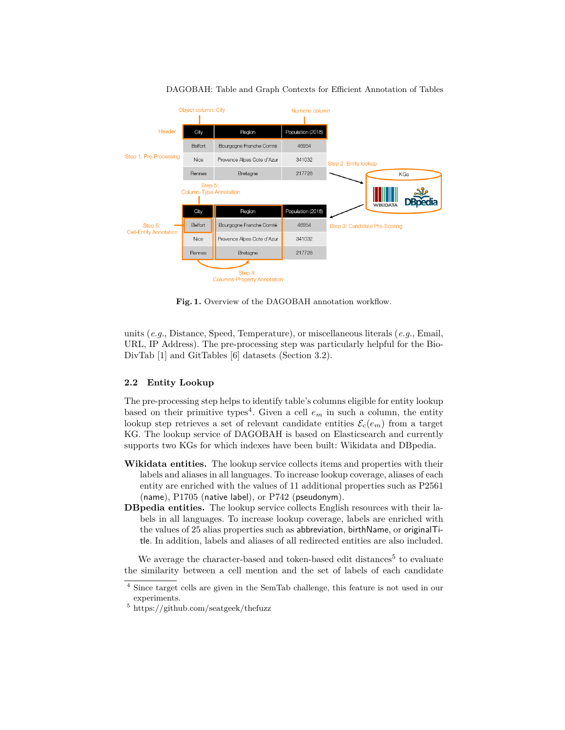

DAGOBAH: Table and Graph Contexts for Efficient Annotation of Tables

Fig. 1. Overview of the DAGOBAH annotation workflow.

units (*e.g.*, Distance, Speed, Temperature), or miscellaneous literals (*e.g.*, Email, URL, IP Address). The pre-processing step was particularly helpful for the Bio-DivTab [1] and GitTables [6] datasets (Section 3.2).

#### **2.2 Entity Lookup**

The pre-processing step helps to identify table's columns eligible for entity lookup based on their primitive types<sup>4</sup>. Given a cell  $e_m$  in such a column, the entity lookup step retrieves a set of relevant candidate entities  $\mathcal{E}_c(e_m)$  from a target KG. The lookup service of DAGOBAH is based on Elasticsearch and currently supports two KGs for which indexes have been built: Wikidata and DBpedia.

- **Wikidata entities.** The lookup service collects items and properties with their labels and aliases in all languages. To increase lookup coverage, aliases of each entity are enriched with the values of 11 additional properties such as P2561 (name), P1705 (native label), or P742 (pseudonym).
- **DBpedia entities.** The lookup service collects English resources with their labels in all languages. To increase lookup coverage, labels are enriched with the values of 25 alias properties such as abbreviation, birthName, or originalTitle. In addition, labels and aliases of all redirected entities are also included.

We average the character-based and token-based edit distances<sup>5</sup> to evaluate the similarity between a cell mention and the set of labels of each candidate

<sup>4</sup> Since target cells are given in the SemTab challenge, this feature is not used in our experiments.

<sup>5</sup> https://github.com/seatgeek/thefuzz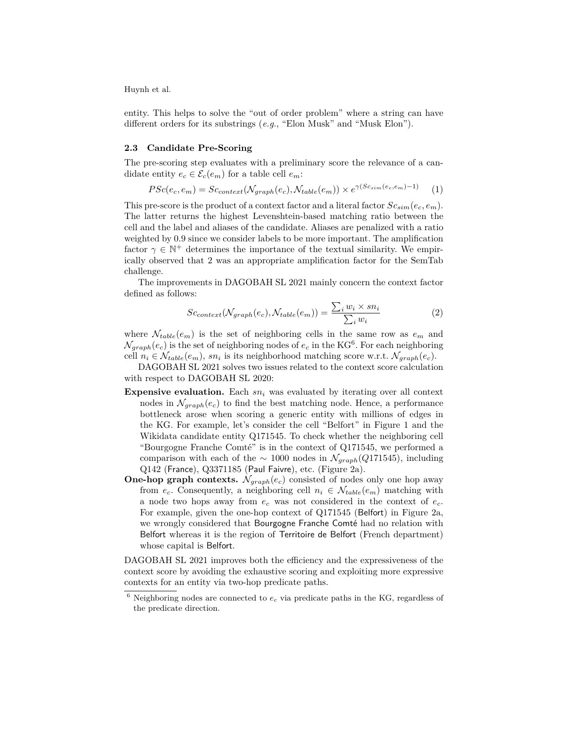entity. This helps to solve the "out of order problem" where a string can have different orders for its substrings (*e.g.*, "Elon Musk" and "Musk Elon").

#### **2.3 Candidate Pre-Scoring**

The pre-scoring step evaluates with a preliminary score the relevance of a candidate entity  $e_c \in \mathcal{E}_c(e_m)$  for a table cell  $e_m$ :

$$
PSc(e_c, e_m) = Sc_{context}(\mathcal{N}_{graph}(e_c), \mathcal{N}_{table}(e_m)) \times e^{\gamma (Sc_{sim}(e_c, e_m) - 1)} \tag{1}
$$

This pre-score is the product of a context factor and a literal factor  $Sc_{sim}(e_c, e_m)$ . The latter returns the highest Levenshtein-based matching ratio between the cell and the label and aliases of the candidate. Aliases are penalized with a ratio weighted by 0.9 since we consider labels to be more important. The amplification factor  $\gamma \in \mathbb{N}^+$  determines the importance of the textual similarity. We empirically observed that 2 was an appropriate amplification factor for the SemTab challenge.

The improvements in DAGOBAH SL 2021 mainly concern the context factor defined as follows:

$$
Sc_{context}(\mathcal{N}_{graph}(e_c), \mathcal{N}_{table}(e_m)) = \frac{\sum_i w_i \times sn_i}{\sum_i w_i}
$$
 (2)

where  $\mathcal{N}_{table}(e_m)$  is the set of neighboring cells in the same row as  $e_m$  and  $\mathcal{N}_{graph}(e_c)$  is the set of neighboring nodes of  $e_c$  in the KG<sup>6</sup>. For each neighboring cell  $n_i \in \mathcal{N}_{table}(e_m)$ ,  $sn_i$  is its neighborhood matching score w.r.t.  $\mathcal{N}_{graph}(e_c)$ .

DAGOBAH SL 2021 solves two issues related to the context score calculation with respect to DAGOBAH SL 2020:

- **Expensive evaluation.** Each *sn<sup>i</sup>* was evaluated by iterating over all context nodes in  $\mathcal{N}_{graph}(e_c)$  to find the best matching node. Hence, a performance bottleneck arose when scoring a generic entity with millions of edges in the KG. For example, let's consider the cell "Belfort" in Figure 1 and the Wikidata candidate entity Q171545. To check whether the neighboring cell "Bourgogne Franche Comté" is in the context of Q171545, we performed a comparison with each of the  $\sim 1000$  nodes in  $\mathcal{N}_{graph}(Q171545)$ , including Q142 (France), Q3371185 (Paul Faivre), etc. (Figure 2a).
- **One-hop graph contexts.**  $N_{graph}(e_c)$  consisted of nodes only one hop away from  $e_c$ . Consequently, a neighboring cell  $n_i \in \mathcal{N}_{table}(e_m)$  matching with a node two hops away from *e<sup>c</sup>* was not considered in the context of *ec*. For example, given the one-hop context of Q171545 (Belfort) in Figure 2a, we wrongly considered that Bourgogne Franche Comté had no relation with Belfort whereas it is the region of Territoire de Belfort (French department) whose capital is Belfort.

DAGOBAH SL 2021 improves both the efficiency and the expressiveness of the context score by avoiding the exhaustive scoring and exploiting more expressive contexts for an entity via two-hop predicate paths.

 $6$  Neighboring nodes are connected to  $e_c$  via predicate paths in the KG, regardless of the predicate direction.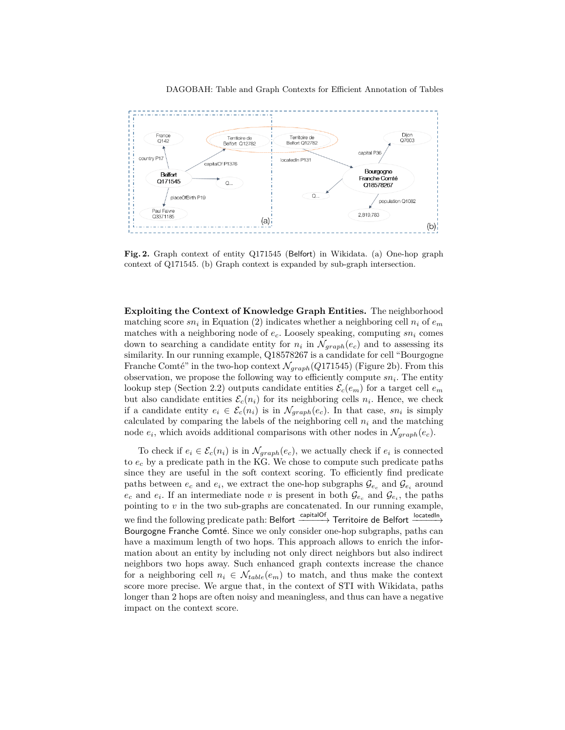



**Fig. 2.** Graph context of entity Q171545 (Belfort) in Wikidata. (a) One-hop graph context of Q171545. (b) Graph context is expanded by sub-graph intersection.

**Exploiting the Context of Knowledge Graph Entities.** The neighborhood matching score  $sn_i$  in Equation (2) indicates whether a neighboring cell  $n_i$  of  $e_m$ matches with a neighboring node of *ec*. Loosely speaking, computing *sn<sup>i</sup>* comes down to searching a candidate entity for  $n_i$  in  $\mathcal{N}_{graph}(e_c)$  and to assessing its similarity. In our running example, Q18578267 is a candidate for cell "Bourgogne Franche Comté" in the two-hop context  $\mathcal{N}_{graph}(Q171545)$  (Figure 2b). From this observation, we propose the following way to efficiently compute *sn<sup>i</sup>* . The entity lookup step (Section 2.2) outputs candidate entities  $\mathcal{E}_c(e_m)$  for a target cell  $e_m$ but also candidate entities  $\mathcal{E}_c(n_i)$  for its neighboring cells  $n_i$ . Hence, we check if a candidate entity  $e_i \in \mathcal{E}_c(n_i)$  is in  $\mathcal{N}_{graph}(e_c)$ . In that case,  $sn_i$  is simply calculated by comparing the labels of the neighboring cell  $n_i$  and the matching node  $e_i$ , which avoids additional comparisons with other nodes in  $\mathcal{N}_{graph}(e_c)$ .

To check if  $e_i \in \mathcal{E}_c(n_i)$  is in  $\mathcal{N}_{graph}(e_c)$ , we actually check if  $e_i$  is connected to  $e_c$  by a predicate path in the KG. We chose to compute such predicate paths since they are useful in the soft context scoring. To efficiently find predicate paths between  $e_c$  and  $e_i$ , we extract the one-hop subgraphs  $\mathcal{G}_{e_c}$  and  $\mathcal{G}_{e_i}$  around  $e_c$  and  $e_i$ . If an intermediate node *v* is present in both  $\mathcal{G}_{e_c}$  and  $\mathcal{G}_{e_i}$ , the paths pointing to *v* in the two sub-graphs are concatenated. In our running example, we find the following predicate path: Belfort  $\xrightarrow{capitalOf}$  Territoire de Belfort  $\xrightarrow{locatedIn}$ Bourgogne Franche Comté. Since we only consider one-hop subgraphs, paths can have a maximum length of two hops. This approach allows to enrich the information about an entity by including not only direct neighbors but also indirect neighbors two hops away. Such enhanced graph contexts increase the chance for a neighboring cell  $n_i \in \mathcal{N}_{table}(e_m)$  to match, and thus make the context score more precise. We argue that, in the context of STI with Wikidata, paths longer than 2 hops are often noisy and meaningless, and thus can have a negative impact on the context score.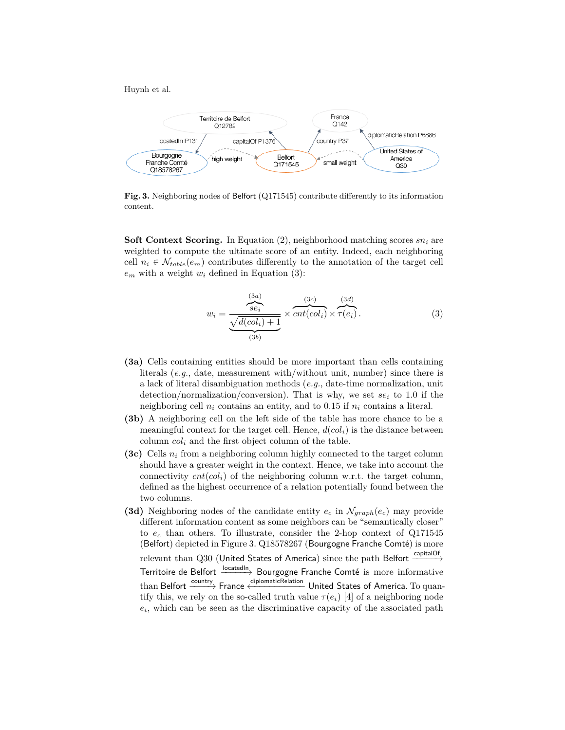

**Fig. 3.** Neighboring nodes of Belfort (Q171545) contribute differently to its information content.

**Soft Context Scoring.** In Equation (2), neighborhood matching scores *sn<sup>i</sup>* are weighted to compute the ultimate score of an entity. Indeed, each neighboring cell  $n_i \in \mathcal{N}_{table}(e_m)$  contributes differently to the annotation of the target cell  $e_m$  with a weight  $w_i$  defined in Equation (3):

$$
w_i = \frac{\frac{(3a)}{se_i}}{\frac{\sqrt{d(col_i)+1}}{(3b)}} \times \overbrace{cnt(col_i)}^{(3c)} \times \overbrace{\tau(e_i)}^{(3d)}.
$$
 (3)

- **(3a)** Cells containing entities should be more important than cells containing literals (*e.g.*, date, measurement with/without unit, number) since there is a lack of literal disambiguation methods (*e.g.*, date-time normalization, unit detection/normalization/conversion). That is why, we set  $se_i$  to 1.0 if the neighboring cell  $n_i$  contains an entity, and to 0.15 if  $n_i$  contains a literal.
- **(3b)** A neighboring cell on the left side of the table has more chance to be a meaningful context for the target cell. Hence,  $d(col<sub>i</sub>)$  is the distance between column  $col_i$  and the first object column of the table.
- **(3c)** Cells *n<sup>i</sup>* from a neighboring column highly connected to the target column should have a greater weight in the context. Hence, we take into account the connectivity  $cnt(col_i)$  of the neighboring column w.r.t. the target column, defined as the highest occurrence of a relation potentially found between the two columns.
- **(3d)** Neighboring nodes of the candidate entity  $e_c$  in  $\mathcal{N}_{graph}(e_c)$  may provide different information content as some neighbors can be "semantically closer" to *e<sup>c</sup>* than others. To illustrate, consider the 2-hop context of Q171545 (Belfort) depicted in Figure 3. Q18578267 (Bourgogne Franche Comté) is more relevant than Q30 (United States of America) since the path Belfort  $\xrightarrow[]{\text{capitalOf}}$ Territoire de Belfort <sup>locatedIn</sup> Bourgogne Franche Comté is more informative than Belfort  $\xrightarrow{\text{country}}$  France  $\xleftarrow{\text{diplomaticRelation}}$  United States of America. To quantify this, we rely on the so-called truth value  $\tau(e_i)$  [4] of a neighboring node  $e_i$ , which can be seen as the discriminative capacity of the associated path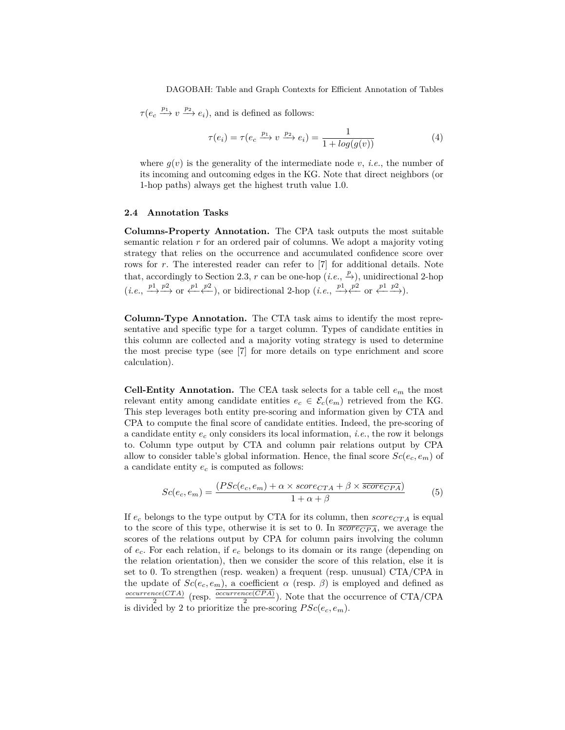DAGOBAH: Table and Graph Contexts for Efficient Annotation of Tables

 $\tau(e_c \xrightarrow{p_1} v \xrightarrow{p_2} e_i)$ , and is defined as follows:

$$
\tau(e_i) = \tau(e_c \xrightarrow{p_1} v \xrightarrow{p_2} e_i) = \frac{1}{1 + \log(g(v))}
$$
\n(4)

where  $q(v)$  is the generality of the intermediate node *v*, *i.e.*, the number of its incoming and outcoming edges in the KG. Note that direct neighbors (or 1-hop paths) always get the highest truth value 1.0.

#### **2.4 Annotation Tasks**

**Columns-Property Annotation.** The CPA task outputs the most suitable semantic relation *r* for an ordered pair of columns. We adopt a majority voting strategy that relies on the occurrence and accumulated confidence score over rows for *r*. The interested reader can refer to [7] for additional details. Note that, accordingly to Section 2.3, *r* can be one-hop  $(i.e., \frac{p}{\rightarrow})$ , unidirectional 2-hop  $(i.e., \frac{p_1}{\longrightarrow} \frac{p_2}{\longrightarrow} \text{ or } \frac{p_1}{\longleftarrow} \frac{p_2}{\longleftarrow})$ , or bidirectional 2-hop  $(i.e., \frac{p_1}{\longrightarrow} \frac{p_2}{\longleftarrow} \text{ or } \frac{p_1}{\longleftarrow} \frac{p_2}{\longrightarrow})$ .

**Column-Type Annotation.** The CTA task aims to identify the most representative and specific type for a target column. Types of candidate entities in this column are collected and a majority voting strategy is used to determine the most precise type (see [7] for more details on type enrichment and score calculation).

**Cell-Entity Annotation.** The CEA task selects for a table cell *e<sup>m</sup>* the most relevant entity among candidate entities  $e_c \in \mathcal{E}_c(e_m)$  retrieved from the KG. This step leverages both entity pre-scoring and information given by CTA and CPA to compute the final score of candidate entities. Indeed, the pre-scoring of a candidate entity *e<sup>c</sup>* only considers its local information, *i.e.*, the row it belongs to. Column type output by CTA and column pair relations output by CPA allow to consider table's global information. Hence, the final score  $Sc(e_c, e_m)$  of a candidate entity *e<sup>c</sup>* is computed as follows:

$$
Sc(e_c, e_m) = \frac{(PSc(e_c, e_m) + \alpha \times score_{CTA} + \beta \times \overline{score_{CPA}})}{1 + \alpha + \beta}
$$
(5)

If  $e_c$  belongs to the type output by CTA for its column, then  $score_{CTA}$  is equal to the score of this type, otherwise it is set to 0. In  $\overline{score_{CPA}}$ , we average the scores of the relations output by CPA for column pairs involving the column of *ec*. For each relation, if *e<sup>c</sup>* belongs to its domain or its range (depending on the relation orientation), then we consider the score of this relation, else it is set to 0. To strengthen (resp. weaken) a frequent (resp. unusual) CTA/CPA in the update of  $Sc(e_c, e_m)$ , a coefficient  $\alpha$  (resp.  $\beta$ ) is employed and defined as *occurrence*(*CT A*)  $\frac{ccc(CTA)}{2}$  (resp.  $\frac{occurrence(CPA)}{2}$ ). Note that the occurrence of CTA/CPA is divided by 2 to prioritize the pre-scoring  $PSc(e_c, e_m)$ .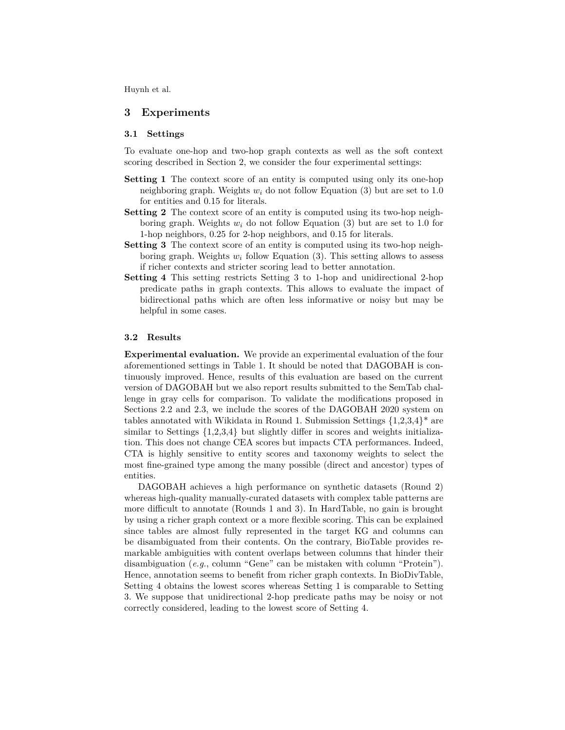#### **3 Experiments**

#### **3.1 Settings**

To evaluate one-hop and two-hop graph contexts as well as the soft context scoring described in Section 2, we consider the four experimental settings:

- **Setting 1** The context score of an entity is computed using only its one-hop neighboring graph. Weights  $w_i$  do not follow Equation (3) but are set to 1.0 for entities and 0.15 for literals.
- **Setting 2** The context score of an entity is computed using its two-hop neighboring graph. Weights  $w_i$  do not follow Equation (3) but are set to 1.0 for 1-hop neighbors, 0.25 for 2-hop neighbors, and 0.15 for literals.
- **Setting 3** The context score of an entity is computed using its two-hop neighboring graph. Weights *w<sup>i</sup>* follow Equation (3). This setting allows to assess if richer contexts and stricter scoring lead to better annotation.
- **Setting 4** This setting restricts Setting 3 to 1-hop and unidirectional 2-hop predicate paths in graph contexts. This allows to evaluate the impact of bidirectional paths which are often less informative or noisy but may be helpful in some cases.

#### **3.2 Results**

**Experimental evaluation.** We provide an experimental evaluation of the four aforementioned settings in Table 1. It should be noted that DAGOBAH is continuously improved. Hence, results of this evaluation are based on the current version of DAGOBAH but we also report results submitted to the SemTab challenge in gray cells for comparison. To validate the modifications proposed in Sections 2.2 and 2.3, we include the scores of the DAGOBAH 2020 system on tables annotated with Wikidata in Round 1. Submission Settings  $\{1,2,3,4\}^*$  are similar to Settings  $\{1,2,3,4\}$  but slightly differ in scores and weights initialization. This does not change CEA scores but impacts CTA performances. Indeed, CTA is highly sensitive to entity scores and taxonomy weights to select the most fine-grained type among the many possible (direct and ancestor) types of entities.

DAGOBAH achieves a high performance on synthetic datasets (Round 2) whereas high-quality manually-curated datasets with complex table patterns are more difficult to annotate (Rounds 1 and 3). In HardTable, no gain is brought by using a richer graph context or a more flexible scoring. This can be explained since tables are almost fully represented in the target KG and columns can be disambiguated from their contents. On the contrary, BioTable provides remarkable ambiguities with content overlaps between columns that hinder their disambiguation (*e.g.*, column "Gene" can be mistaken with column "Protein"). Hence, annotation seems to benefit from richer graph contexts. In BioDivTable, Setting 4 obtains the lowest scores whereas Setting 1 is comparable to Setting 3. We suppose that unidirectional 2-hop predicate paths may be noisy or not correctly considered, leading to the lowest score of Setting 4.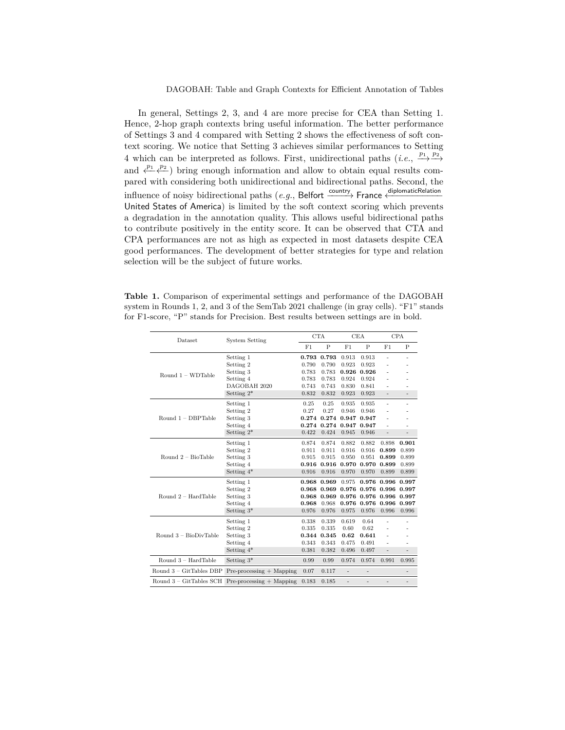In general, Settings 2, 3, and 4 are more precise for CEA than Setting 1. Hence, 2-hop graph contexts bring useful information. The better performance of Settings 3 and 4 compared with Setting 2 shows the effectiveness of soft context scoring. We notice that Setting 3 achieves similar performances to Setting 4 which can be interpreted as follows. First, unidirectional paths  $(i.e., \frac{p_1}{\longrightarrow} \frac{p_2}{\longrightarrow} )$ and  $\frac{p_1}{\leftarrow}$  *p*<sup>2</sup><sub></sub> *e*<sup>2</sup>) bring enough information and allow to obtain equal results compared with considering both unidirectional and bidirectional paths. Second, the influence of noisy bidirectional paths (*e.g.*, Belfort  $\frac{1}{\text{country}}$  France  $\frac{1}{\text{output}}$ United States of America) is limited by the soft context scoring which prevents a degradation in the annotation quality. This allows useful bidirectional paths to contribute positively in the entity score. It can be observed that CTA and CPA performances are not as high as expected in most datasets despite CEA good performances. The development of better strategies for type and relation selection will be the subject of future works.

**Table 1.** Comparison of experimental settings and performance of the DAGOBAH system in Rounds 1, 2, and 3 of the SemTab 2021 challenge (in gray cells). "F1" stands for F1-score, "P" stands for Precision. Best results between settings are in bold.

| Dataset                 | <b>System Setting</b>                                    | <b>CTA</b> |                         | <b>CEA</b>     |                   | <b>CPA</b>               |                          |
|-------------------------|----------------------------------------------------------|------------|-------------------------|----------------|-------------------|--------------------------|--------------------------|
|                         |                                                          | F1         | P                       | F1             | $\mathbf P$       | F1                       | P                        |
| Round $1 - WDTable$     | Setting 1                                                | 0.793      | 0.793                   | 0.913          | 0.913             | $\overline{a}$           | $\overline{a}$           |
|                         | Setting 2                                                | 0.790      | 0.790                   | 0.923          | 0.923             | $\overline{a}$           |                          |
|                         | Setting 3                                                | 0.783      | 0.783                   | 0.926          | 0.926             | $\overline{a}$           |                          |
|                         | Setting 4                                                | 0.783      | 0.783                   | 0.924          | 0.924             | $\overline{a}$           |                          |
|                         | DAGOBAH 2020                                             | 0.743      | 0.743                   | 0.830          | 0.841             | $\overline{a}$           |                          |
|                         | Setting $2^*$                                            | 0.832      | 0.832                   | 0.923          | 0.923             | $\overline{a}$           | $\overline{a}$           |
| Round $1 - DBPTable$    | Setting 1                                                | 0.25       | 0.25                    | 0.935          | 0.935             | ÷                        | $\overline{a}$           |
|                         | Setting 2                                                | 0.27       | 0.27                    | 0.946          | 0.946             | $\overline{a}$           |                          |
|                         | Setting 3                                                |            | $0.274$ $0.274$         | 0.947          | 0.947             | $\overline{a}$           |                          |
|                         | Setting 4                                                |            | 0.274 0.274 0.947 0.947 |                |                   | $\overline{a}$           |                          |
|                         | Setting $2^*$                                            | 0.422      | 0.424                   | 0.945          | 0.946             | $\overline{a}$           | $\overline{a}$           |
|                         | Setting 1                                                | 0.874      | 0.874                   | 0.882          | 0.882             | 0.898                    | 0.901                    |
| Round $2 - BioTable$    | Setting 2                                                | 0.911      | 0.911                   | 0.916          | 0.916             | 0.899                    | 0.899                    |
|                         | Setting 3                                                | 0.915      | 0.915                   | 0.950          | 0.951             | 0.899                    | 0.899                    |
|                         | Setting 4                                                |            | 0.916 0.916             | 0.970          | 0.970 0.899       |                          | 0.899                    |
|                         | Setting $4^*$                                            | 0.916      | 0.916                   | 0.970          | 0.970             | 0.899                    | 0.899                    |
|                         | Setting 1                                                | 0.968      | 0.969                   | 0.975          |                   | 0.976 0.996 0.997        |                          |
| Round $2 - HardTable$   | Setting 2                                                |            | 0.968 0.969             | 0.976          | 0.976 0.996 0.997 |                          |                          |
|                         | Setting 3                                                | 0.968      | 0.969                   | 0.976          | 0.976 0.996 0.997 |                          |                          |
|                         | Setting 4                                                | 0.968      | 0.968                   | 0.976          |                   | 0.976 0.996 0.997        |                          |
|                         | Setting $3^*$                                            | 0.976      | 0.976                   | 0.975          | 0.976             | 0.996                    | 0.996                    |
| Round $3 - BioDivTable$ | Setting 1                                                | 0.338      | 0.339                   | 0.619          | 0.64              | $\overline{a}$           |                          |
|                         | Setting 2                                                | 0.335      | 0.335                   | 0.60           | 0.62              | $\overline{a}$           |                          |
|                         | Setting 3                                                |            | 0.344 0.345             | 0.62           | 0.641             | $\overline{a}$           |                          |
|                         | Setting 4                                                | 0.343      | 0.343                   | 0.475          | 0.491             | $\overline{a}$           |                          |
|                         | Setting $4^*$                                            | 0.381      | 0.382                   | 0.496          | 0.497             | $\overline{\phantom{m}}$ | $\overline{a}$           |
| Round $3 - HardTable$   | Setting $3*$                                             | 0.99       | 0.99                    | 0.974          | 0.974             | 0.991                    | 0.995                    |
|                         | Round $3 - GitTables DBP$ Pre-processing $+$ Mapping     | 0.07       | 0.117                   | $\overline{a}$ | $\overline{a}$    |                          | $\overline{\phantom{a}}$ |
|                         | Round $3 - GitTables \, SCH \, Pre-processing + Mapping$ | 0.183      | 0.185                   | $\overline{a}$ | $\overline{a}$    |                          | $\overline{a}$           |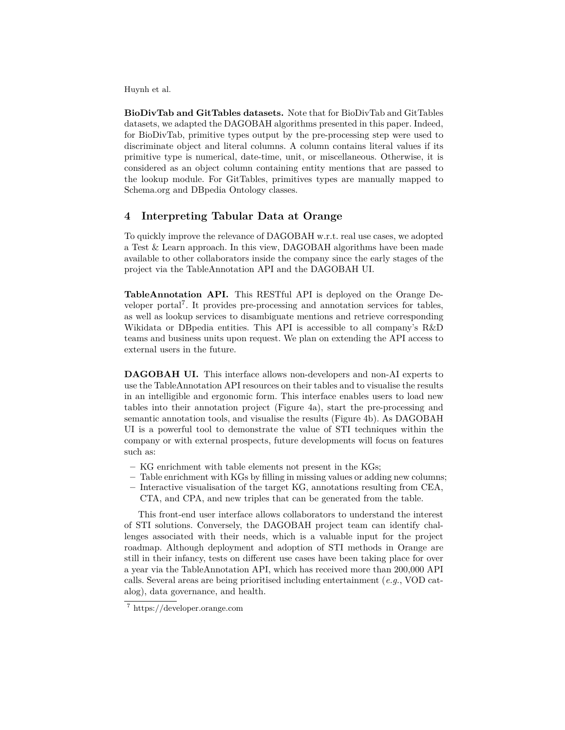**BioDivTab and GitTables datasets.** Note that for BioDivTab and GitTables datasets, we adapted the DAGOBAH algorithms presented in this paper. Indeed, for BioDivTab, primitive types output by the pre-processing step were used to discriminate object and literal columns. A column contains literal values if its primitive type is numerical, date-time, unit, or miscellaneous. Otherwise, it is considered as an object column containing entity mentions that are passed to the lookup module. For GitTables, primitives types are manually mapped to Schema.org and DBpedia Ontology classes.

### **4 Interpreting Tabular Data at Orange**

To quickly improve the relevance of DAGOBAH w.r.t. real use cases, we adopted a Test & Learn approach. In this view, DAGOBAH algorithms have been made available to other collaborators inside the company since the early stages of the project via the TableAnnotation API and the DAGOBAH UI.

**TableAnnotation API.** This RESTful API is deployed on the Orange Developer portal<sup>7</sup>. It provides pre-processing and annotation services for tables, as well as lookup services to disambiguate mentions and retrieve corresponding Wikidata or DBpedia entities. This API is accessible to all company's R&D teams and business units upon request. We plan on extending the API access to external users in the future.

**DAGOBAH UI.** This interface allows non-developers and non-AI experts to use the TableAnnotation API resources on their tables and to visualise the results in an intelligible and ergonomic form. This interface enables users to load new tables into their annotation project (Figure 4a), start the pre-processing and semantic annotation tools, and visualise the results (Figure 4b). As DAGOBAH UI is a powerful tool to demonstrate the value of STI techniques within the company or with external prospects, future developments will focus on features such as:

- **–** KG enrichment with table elements not present in the KGs;
- **–** Table enrichment with KGs by filling in missing values or adding new columns;
- **–** Interactive visualisation of the target KG, annotations resulting from CEA, CTA, and CPA, and new triples that can be generated from the table.

This front-end user interface allows collaborators to understand the interest of STI solutions. Conversely, the DAGOBAH project team can identify challenges associated with their needs, which is a valuable input for the project roadmap. Although deployment and adoption of STI methods in Orange are still in their infancy, tests on different use cases have been taking place for over a year via the TableAnnotation API, which has received more than 200,000 API calls. Several areas are being prioritised including entertainment (*e.g.*, VOD catalog), data governance, and health.

<sup>7</sup> https://developer.orange.com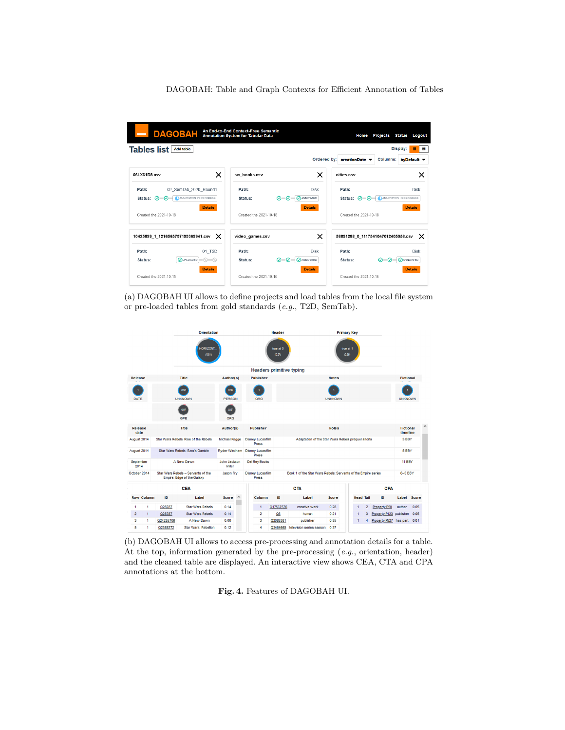DAGOBAH: Table and Graph Contexts for Efficient Annotation of Tables

| <b>DAGOBAH</b>                                                          |                                         | An End-to-End Context-Free Semantic<br>Annotation System for Tabular Data |                                             | Home                                              | <b>Projects</b><br><b>Status</b><br>Logout              |
|-------------------------------------------------------------------------|-----------------------------------------|---------------------------------------------------------------------------|---------------------------------------------|---------------------------------------------------|---------------------------------------------------------|
| <b>Tables list Add table</b>                                            |                                         |                                                                           |                                             |                                                   | Display:<br>冊<br>膏                                      |
| 06LX61D8.csv                                                            | ×                                       | sw books.csv                                                              | ×                                           | Ordered by: creationDate ▼<br>cities.csv          | Columns:<br>$by$ Default $\blacktriangledown$<br>×      |
| Path:<br>Status: 0-0-0 ANNOTATION IN PROGRESS<br>Created the 2021-10-18 | 02 SemTab 2020 Round1<br><b>Details</b> | Path:<br>∞<br>Status:<br>-0-<br>Created the 2021-10-18                    | Disk<br><b>OANNOTATED</b><br><b>Details</b> | Path:<br>െ—െ<br>Status:<br>Created the 2021-10-18 | <b>Disk</b><br>ANNOTATION IN PROGRESS<br><b>Details</b> |
| 10425899 1 1216565737193369941.csv                                      | ×                                       | video games.csv                                                           | ×                                           |                                                   | 58891288 0 1117541047012405958.csv<br>×                 |
| Path:<br><b>OUPLOADED</b><br>Status:                                    | 01 T2D<br>-0-0                          | Path:<br>Status:<br><u>ଡ−ଡ</u>                                            | Disk<br><b>CANNOTATED</b>                   | Path:<br>Status:                                  | Disk<br><b>CANNOTATED</b><br>$\oslash$ — $\oslash$      |
| Created the 2021-10-15                                                  | <b>Details</b>                          | Created the 2021-10-15                                                    | <b>Details</b>                              | Created the 2021-10-15                            | <b>Details</b>                                          |

(a) DAGOBAH UI allows to define projects and load tables from the local file system or pre-loaded tables from gold standards (*e.g.*, T2D, SemTab).



(b) DAGOBAH UI allows to access pre-processing and annotation details for a table. At the top, information generated by the pre-processing (*e.g.*, orientation, header) and the cleaned table are displayed. An interactive view shows CEA, CTA and CPA annotations at the bottom.

**Fig. 4.** Features of DAGOBAH UI.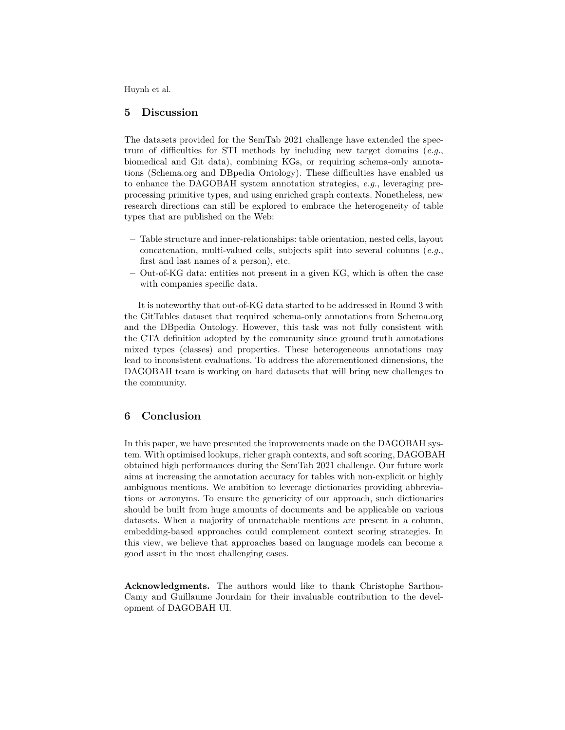## **5 Discussion**

The datasets provided for the SemTab 2021 challenge have extended the spectrum of difficulties for STI methods by including new target domains (*e.g.*, biomedical and Git data), combining KGs, or requiring schema-only annotations (Schema.org and DBpedia Ontology). These difficulties have enabled us to enhance the DAGOBAH system annotation strategies, *e.g.*, leveraging preprocessing primitive types, and using enriched graph contexts. Nonetheless, new research directions can still be explored to embrace the heterogeneity of table types that are published on the Web:

- **–** Table structure and inner-relationships: table orientation, nested cells, layout concatenation, multi-valued cells, subjects split into several columns (*e.g.*, first and last names of a person), etc.
- **–** Out-of-KG data: entities not present in a given KG, which is often the case with companies specific data.

It is noteworthy that out-of-KG data started to be addressed in Round 3 with the GitTables dataset that required schema-only annotations from Schema.org and the DBpedia Ontology. However, this task was not fully consistent with the CTA definition adopted by the community since ground truth annotations mixed types (classes) and properties. These heterogeneous annotations may lead to inconsistent evaluations. To address the aforementioned dimensions, the DAGOBAH team is working on hard datasets that will bring new challenges to the community.

#### **6 Conclusion**

In this paper, we have presented the improvements made on the DAGOBAH system. With optimised lookups, richer graph contexts, and soft scoring, DAGOBAH obtained high performances during the SemTab 2021 challenge. Our future work aims at increasing the annotation accuracy for tables with non-explicit or highly ambiguous mentions. We ambition to leverage dictionaries providing abbreviations or acronyms. To ensure the genericity of our approach, such dictionaries should be built from huge amounts of documents and be applicable on various datasets. When a majority of unmatchable mentions are present in a column, embedding-based approaches could complement context scoring strategies. In this view, we believe that approaches based on language models can become a good asset in the most challenging cases.

**Acknowledgments.** The authors would like to thank Christophe Sarthou-Camy and Guillaume Jourdain for their invaluable contribution to the development of DAGOBAH UI.